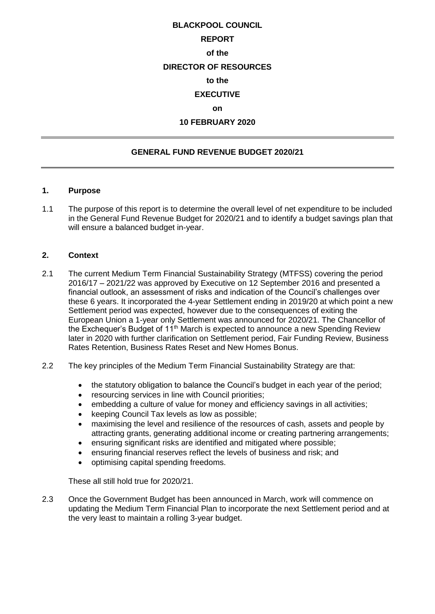# **BLACKPOOL COUNCIL REPORT of the DIRECTOR OF RESOURCES to the EXECUTIVE on 10 FEBRUARY 2020**

## **GENERAL FUND REVENUE BUDGET 2020/21**

#### **1. Purpose**

1.1 The purpose of this report is to determine the overall level of net expenditure to be included in the General Fund Revenue Budget for 2020/21 and to identify a budget savings plan that will ensure a balanced budget in-year.

#### **2. Context**

- 2.1 The current Medium Term Financial Sustainability Strategy (MTFSS) covering the period 2016/17 – 2021/22 was approved by Executive on 12 September 2016 and presented a financial outlook, an assessment of risks and indication of the Council's challenges over these 6 years. It incorporated the 4-year Settlement ending in 2019/20 at which point a new Settlement period was expected, however due to the consequences of exiting the European Union a 1-year only Settlement was announced for 2020/21. The Chancellor of the Exchequer's Budget of 11<sup>th</sup> March is expected to announce a new Spending Review later in 2020 with further clarification on Settlement period, Fair Funding Review, Business Rates Retention, Business Rates Reset and New Homes Bonus.
- 2.2 The key principles of the Medium Term Financial Sustainability Strategy are that:
	- the statutory obligation to balance the Council's budget in each year of the period;
	- resourcing services in line with Council priorities;
	- embedding a culture of value for money and efficiency savings in all activities;
	- keeping Council Tax levels as low as possible;
	- maximising the level and resilience of the resources of cash, assets and people by attracting grants, generating additional income or creating partnering arrangements;
	- ensuring significant risks are identified and mitigated where possible;
	- ensuring financial reserves reflect the levels of business and risk; and
	- optimising capital spending freedoms.

These all still hold true for 2020/21.

2.3 Once the Government Budget has been announced in March, work will commence on updating the Medium Term Financial Plan to incorporate the next Settlement period and at the very least to maintain a rolling 3-year budget.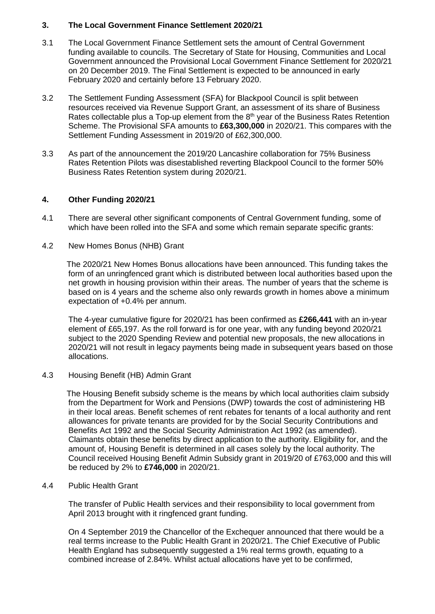## **3. The Local Government Finance Settlement 2020/21**

- 3.1 The Local Government Finance Settlement sets the amount of Central Government funding available to councils. The Secretary of State for Housing, Communities and Local Government announced the Provisional Local Government Finance Settlement for 2020/21 on 20 December 2019. The Final Settlement is expected to be announced in early February 2020 and certainly before 13 February 2020.
- 3.2 The Settlement Funding Assessment (SFA) for Blackpool Council is split between resources received via Revenue Support Grant, an assessment of its share of Business Rates collectable plus a Top-up element from the  $8<sup>th</sup>$  year of the Business Rates Retention Scheme. The Provisional SFA amounts to **£63,300,000** in 2020/21. This compares with the Settlement Funding Assessment in 2019/20 of £62,300,000.
- 3.3 As part of the announcement the 2019/20 Lancashire collaboration for 75% Business Rates Retention Pilots was disestablished reverting Blackpool Council to the former 50% Business Rates Retention system during 2020/21.

### **4. Other Funding 2020/21**

- 4.1 There are several other significant components of Central Government funding, some of which have been rolled into the SFA and some which remain separate specific grants:
- 4.2 New Homes Bonus (NHB) Grant

 The 2020/21 New Homes Bonus allocations have been announced. This funding takes the form of an unringfenced grant which is distributed between local authorities based upon the net growth in housing provision within their areas. The number of years that the scheme is based on is 4 years and the scheme also only rewards growth in homes above a minimum expectation of +0.4% per annum.

The 4-year cumulative figure for 2020/21 has been confirmed as **£266,441** with an in-year element of £65,197. As the roll forward is for one year, with any funding beyond 2020/21 subject to the 2020 Spending Review and potential new proposals, the new allocations in 2020/21 will not result in legacy payments being made in subsequent years based on those allocations.

4.3 Housing Benefit (HB) Admin Grant

 The Housing Benefit subsidy scheme is the means by which local authorities claim subsidy from the Department for Work and Pensions (DWP) towards the cost of administering HB in their local areas. Benefit schemes of rent rebates for tenants of a local authority and rent allowances for private tenants are provided for by the Social Security Contributions and Benefits Act 1992 and the Social Security Administration Act 1992 (as amended). Claimants obtain these benefits by direct application to the authority. Eligibility for, and the amount of, Housing Benefit is determined in all cases solely by the local authority. The Council received Housing Benefit Admin Subsidy grant in 2019/20 of £763,000 and this will be reduced by 2% to **£746,000** in 2020/21.

#### 4.4 Public Health Grant

The transfer of Public Health services and their responsibility to local government from April 2013 brought with it ringfenced grant funding.

On 4 September 2019 the Chancellor of the Exchequer announced that there would be a real terms increase to the Public Health Grant in 2020/21. The Chief Executive of Public Health England has subsequently suggested a 1% real terms growth, equating to a combined increase of 2.84%. Whilst actual allocations have yet to be confirmed,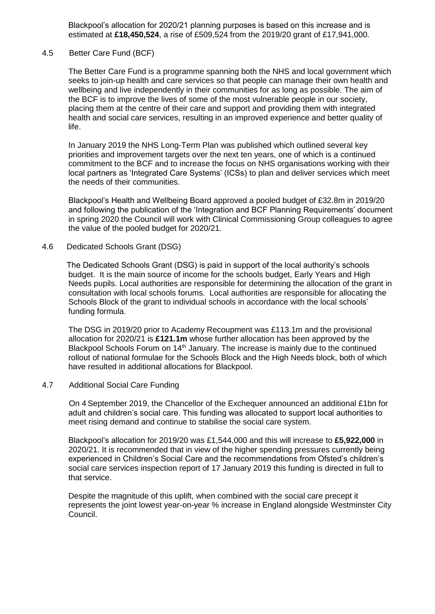Blackpool's allocation for 2020/21 planning purposes is based on this increase and is estimated at **£18,450,524**, a rise of £509,524 from the 2019/20 grant of £17,941,000.

#### 4.5 Better Care Fund (BCF)

The Better Care Fund is a programme spanning both the NHS and local government which seeks to join-up health and care services so that people can manage their own health and wellbeing and live independently in their communities for as long as possible. The aim of the BCF is to improve the lives of some of the most vulnerable people in our society, placing them at the centre of their care and support and providing them with integrated health and social care services, resulting in an improved experience and better quality of life.

In January 2019 the NHS Long-Term Plan was published which outlined several key priorities and improvement targets over the next ten years, one of which is a continued commitment to the BCF and to increase the focus on NHS organisations working with their local partners as 'Integrated Care Systems' (ICSs) to plan and deliver services which meet the needs of their communities.

Blackpool's Health and Wellbeing Board approved a pooled budget of £32.8m in 2019/20 and following the publication of the 'Integration and BCF Planning Requirements' document in spring 2020 the Council will work with Clinical Commissioning Group colleagues to agree the value of the pooled budget for 2020/21.

#### 4.6 Dedicated Schools Grant (DSG)

 The Dedicated Schools Grant (DSG) is paid in support of the local authority's schools budget. It is the main source of income for the schools budget, Early Years and High Needs pupils. Local authorities are responsible for determining the allocation of the grant in consultation with local schools forums. Local authorities are responsible for allocating the Schools Block of the grant to individual schools in accordance with the local schools' funding formula.

The DSG in 2019/20 prior to Academy Recoupment was £113.1m and the provisional allocation for 2020/21 is **£121.1m** whose further allocation has been approved by the Blackpool Schools Forum on 14<sup>th</sup> January. The increase is mainly due to the continued rollout of national formulae for the Schools Block and the High Needs block, both of which have resulted in additional allocations for Blackpool.

#### 4.7 Additional Social Care Funding

 On 4 September 2019, the Chancellor of the Exchequer announced an additional £1bn for adult and children's social care. This funding was allocated to support local authorities to meet rising demand and continue to stabilise the social care system.

Blackpool's allocation for 2019/20 was £1,544,000 and this will increase to **£5,922,000** in 2020/21. It is recommended that in view of the higher spending pressures currently being experienced in Children's Social Care and the recommendations from Ofsted's children's social care services inspection report of 17 January 2019 this funding is directed in full to that service.

Despite the magnitude of this uplift, when combined with the social care precept it represents the joint lowest year-on-year % increase in England alongside Westminster City Council.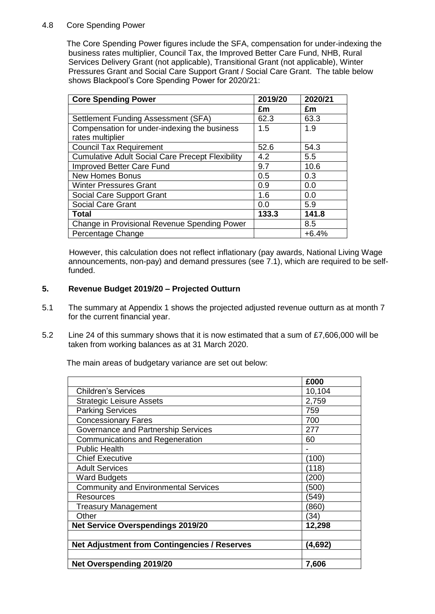## 4.8 Core Spending Power

 The Core Spending Power figures include the SFA, compensation for under-indexing the business rates multiplier, Council Tax, the Improved Better Care Fund, NHB, Rural Services Delivery Grant (not applicable), Transitional Grant (not applicable), Winter Pressures Grant and Social Care Support Grant / Social Care Grant. The table below shows Blackpool's Core Spending Power for 2020/21:

| <b>Core Spending Power</b>                              | 2019/20 | 2020/21 |
|---------------------------------------------------------|---------|---------|
|                                                         | £m      | £m      |
| Settlement Funding Assessment (SFA)                     | 62.3    | 63.3    |
| Compensation for under-indexing the business            | 1.5     | 1.9     |
| rates multiplier                                        |         |         |
| <b>Council Tax Requirement</b>                          | 52.6    | 54.3    |
| <b>Cumulative Adult Social Care Precept Flexibility</b> | 4.2     | 5.5     |
| <b>Improved Better Care Fund</b>                        | 9.7     | 10.6    |
| <b>New Homes Bonus</b>                                  | 0.5     | 0.3     |
| <b>Winter Pressures Grant</b>                           | 0.9     | 0.0     |
| Social Care Support Grant                               | 1.6     | 0.0     |
| <b>Social Care Grant</b>                                | 0.0     | 5.9     |
| <b>Total</b>                                            | 133.3   | 141.8   |
| Change in Provisional Revenue Spending Power            |         | 8.5     |
| Percentage Change                                       |         | $+6.4%$ |

 However, this calculation does not reflect inflationary (pay awards, National Living Wage announcements, non-pay) and demand pressures (see 7.1), which are required to be selffunded.

## **5. Revenue Budget 2019/20 – Projected Outturn**

- 5.1 The summary at Appendix 1 shows the projected adjusted revenue outturn as at month 7 for the current financial year.
- 5.2 Line 24 of this summary shows that it is now estimated that a sum of £7,606,000 will be taken from working balances as at 31 March 2020.

The main areas of budgetary variance are set out below:

|                                                     | £000    |
|-----------------------------------------------------|---------|
| <b>Children's Services</b>                          | 10,104  |
| <b>Strategic Leisure Assets</b>                     | 2,759   |
| <b>Parking Services</b>                             | 759     |
| <b>Concessionary Fares</b>                          | 700     |
| Governance and Partnership Services                 | 277     |
| <b>Communications and Regeneration</b>              | 60      |
| <b>Public Health</b>                                |         |
| <b>Chief Executive</b>                              | (100)   |
| <b>Adult Services</b>                               | (118)   |
| <b>Ward Budgets</b>                                 | (200)   |
| <b>Community and Environmental Services</b>         | (500)   |
| Resources                                           | (549)   |
| <b>Treasury Management</b>                          | (860)   |
| Other                                               | (34)    |
| <b>Net Service Overspendings 2019/20</b>            | 12,298  |
|                                                     |         |
| <b>Net Adjustment from Contingencies / Reserves</b> | (4,692) |
|                                                     |         |
| <b>Net Overspending 2019/20</b>                     | 7,606   |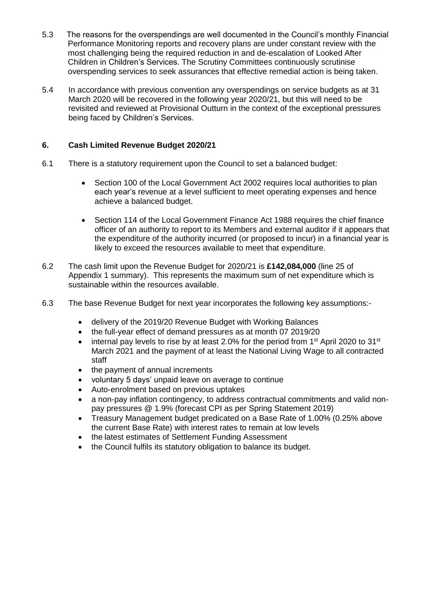- 5.3 The reasons for the overspendings are well documented in the Council's monthly Financial Performance Monitoring reports and recovery plans are under constant review with the most challenging being the required reduction in and de-escalation of Looked After Children in Children's Services. The Scrutiny Committees continuously scrutinise overspending services to seek assurances that effective remedial action is being taken.
- 5.4 In accordance with previous convention any overspendings on service budgets as at 31 March 2020 will be recovered in the following year 2020/21, but this will need to be revisited and reviewed at Provisional Outturn in the context of the exceptional pressures being faced by Children's Services.

## **6. Cash Limited Revenue Budget 2020/21**

- 6.1 There is a statutory requirement upon the Council to set a balanced budget:
	- Section 100 of the Local Government Act 2002 requires local authorities to plan each year's revenue at a level sufficient to meet operating expenses and hence achieve a balanced budget.
	- Section 114 of the Local Government Finance Act 1988 requires the chief finance officer of an authority to report to its Members and external auditor if it appears that the expenditure of the authority incurred (or proposed to incur) in a financial year is likely to exceed the resources available to meet that expenditure.
- 6.2 The cash limit upon the Revenue Budget for 2020/21 is **£142,084,000** (line 25 of Appendix 1 summary). This represents the maximum sum of net expenditure which is sustainable within the resources available.
- 6.3 The base Revenue Budget for next year incorporates the following key assumptions:
	- delivery of the 2019/20 Revenue Budget with Working Balances
	- the full-year effect of demand pressures as at month 07 2019/20
	- internal pay levels to rise by at least 2.0% for the period from 1<sup>st</sup> April 2020 to 31<sup>st</sup> March 2021 and the payment of at least the National Living Wage to all contracted staff
	- the payment of annual increments
	- voluntary 5 days' unpaid leave on average to continue
	- Auto-enrolment based on previous uptakes
	- a non-pay inflation contingency, to address contractual commitments and valid nonpay pressures @ 1.9% (forecast CPI as per Spring Statement 2019)
	- Treasury Management budget predicated on a Base Rate of 1.00% (0.25% above the current Base Rate) with interest rates to remain at low levels
	- the latest estimates of Settlement Funding Assessment
	- the Council fulfils its statutory obligation to balance its budget.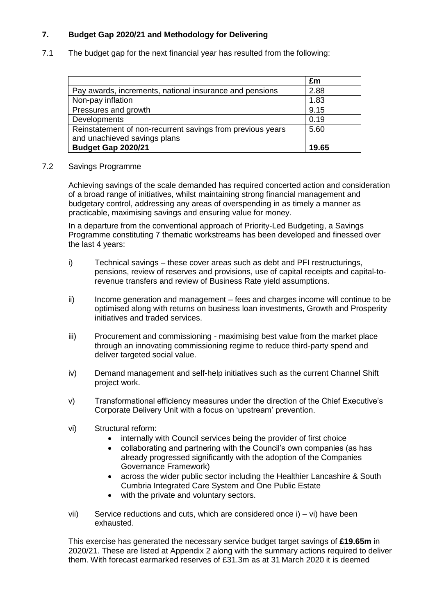# **7. Budget Gap 2020/21 and Methodology for Delivering**

7.1 The budget gap for the next financial year has resulted from the following:

|                                                            | £m    |
|------------------------------------------------------------|-------|
| Pay awards, increments, national insurance and pensions    | 2.88  |
| Non-pay inflation                                          | 1.83  |
| Pressures and growth                                       | 9.15  |
| Developments                                               | 0.19  |
| Reinstatement of non-recurrent savings from previous years | 5.60  |
| and unachieved savings plans                               |       |
| Budget Gap 2020/21                                         | 19.65 |

#### 7.2 Savings Programme

Achieving savings of the scale demanded has required concerted action and consideration of a broad range of initiatives, whilst maintaining strong financial management and budgetary control, addressing any areas of overspending in as timely a manner as practicable, maximising savings and ensuring value for money.

In a departure from the conventional approach of Priority-Led Budgeting, a Savings Programme constituting 7 thematic workstreams has been developed and finessed over the last 4 years:

- i) Technical savings these cover areas such as debt and PFI restructurings, pensions, review of reserves and provisions, use of capital receipts and capital-torevenue transfers and review of Business Rate yield assumptions.
- ii) Income generation and management fees and charges income will continue to be optimised along with returns on business loan investments, Growth and Prosperity initiatives and traded services.
- iii) Procurement and commissioning maximising best value from the market place through an innovating commissioning regime to reduce third-party spend and deliver targeted social value.
- iv) Demand management and self-help initiatives such as the current Channel Shift project work.
- v) Transformational efficiency measures under the direction of the Chief Executive's Corporate Delivery Unit with a focus on 'upstream' prevention.
- vi) Structural reform:
	- internally with Council services being the provider of first choice
	- collaborating and partnering with the Council's own companies (as has already progressed significantly with the adoption of the Companies Governance Framework)
	- across the wider public sector including the Healthier Lancashire & South Cumbria Integrated Care System and One Public Estate
	- with the private and voluntary sectors.
- vii) Service reductions and cuts, which are considered once i) vi) have been exhausted.

This exercise has generated the necessary service budget target savings of **£19.65m** in 2020/21. These are listed at Appendix 2 along with the summary actions required to deliver them. With forecast earmarked reserves of £31.3m as at 31 March 2020 it is deemed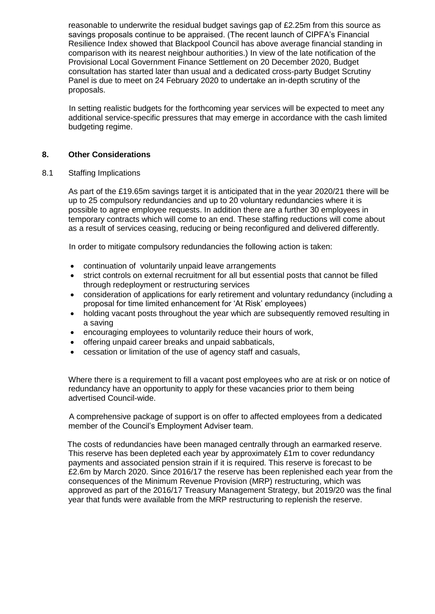reasonable to underwrite the residual budget savings gap of £2.25m from this source as savings proposals continue to be appraised. (The recent launch of CIPFA's Financial Resilience Index showed that Blackpool Council has above average financial standing in comparison with its nearest neighbour authorities.) In view of the late notification of the Provisional Local Government Finance Settlement on 20 December 2020, Budget consultation has started later than usual and a dedicated cross-party Budget Scrutiny Panel is due to meet on 24 February 2020 to undertake an in-depth scrutiny of the proposals.

 In setting realistic budgets for the forthcoming year services will be expected to meet any additional service-specific pressures that may emerge in accordance with the cash limited budgeting regime.

## **8. Other Considerations**

#### 8.1 Staffing Implications

As part of the £19.65m savings target it is anticipated that in the year 2020/21 there will be up to 25 compulsory redundancies and up to 20 voluntary redundancies where it is possible to agree employee requests. In addition there are a further 30 employees in temporary contracts which will come to an end. These staffing reductions will come about as a result of services ceasing, reducing or being reconfigured and delivered differently.

In order to mitigate compulsory redundancies the following action is taken:

- continuation of voluntarily unpaid leave arrangements
- strict controls on external recruitment for all but essential posts that cannot be filled through redeployment or restructuring services
- consideration of applications for early retirement and voluntary redundancy (including a proposal for time limited enhancement for 'At Risk' employees)
- holding vacant posts throughout the year which are subsequently removed resulting in a saving
- encouraging employees to voluntarily reduce their hours of work,
- offering unpaid career breaks and unpaid sabbaticals,
- cessation or limitation of the use of agency staff and casuals,

Where there is a requirement to fill a vacant post employees who are at risk or on notice of redundancy have an opportunity to apply for these vacancies prior to them being advertised Council-wide.

 A comprehensive package of support is on offer to affected employees from a dedicated member of the Council's Employment Adviser team.

 The costs of redundancies have been managed centrally through an earmarked reserve. This reserve has been depleted each year by approximately £1m to cover redundancy payments and associated pension strain if it is required. This reserve is forecast to be £2.6m by March 2020. Since 2016/17 the reserve has been replenished each year from the consequences of the Minimum Revenue Provision (MRP) restructuring, which was approved as part of the 2016/17 Treasury Management Strategy, but 2019/20 was the final year that funds were available from the MRP restructuring to replenish the reserve.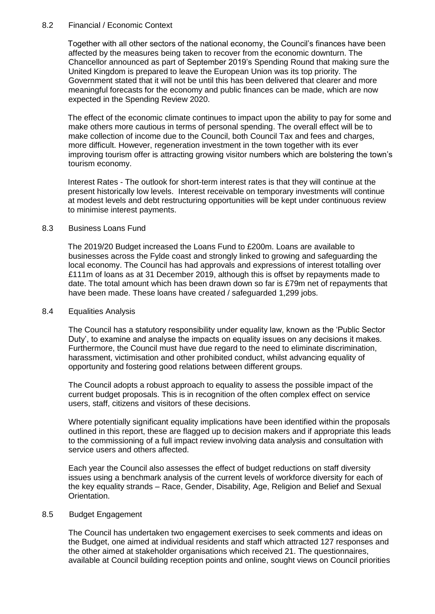#### 8.2 Financial / Economic Context

Together with all other sectors of the national economy, the Council's finances have been affected by the measures being taken to recover from the economic downturn. The Chancellor announced as part of September 2019's Spending Round that making sure the United Kingdom is prepared to leave the European Union was its top priority. The Government stated that it will not be until this has been delivered that clearer and more meaningful forecasts for the economy and public finances can be made, which are now expected in the Spending Review 2020.

The effect of the economic climate continues to impact upon the ability to pay for some and make others more cautious in terms of personal spending. The overall effect will be to make collection of income due to the Council, both Council Tax and fees and charges, more difficult. However, regeneration investment in the town together with its ever improving tourism offer is attracting growing visitor numbers which are bolstering the town's tourism economy.

Interest Rates - The outlook for short-term interest rates is that they will continue at the present historically low levels. Interest receivable on temporary investments will continue at modest levels and debt restructuring opportunities will be kept under continuous review to minimise interest payments.

#### 8.3 Business Loans Fund

The 2019/20 Budget increased the Loans Fund to £200m. Loans are available to businesses across the Fylde coast and strongly linked to growing and safeguarding the local economy. The Council has had approvals and expressions of interest totalling over £111m of loans as at 31 December 2019, although this is offset by repayments made to date. The total amount which has been drawn down so far is £79m net of repayments that have been made. These loans have created / safeguarded 1,299 jobs.

#### 8.4 Equalities Analysis

The Council has a statutory responsibility under equality law, known as the 'Public Sector Duty', to examine and analyse the impacts on equality issues on any decisions it makes. Furthermore, the Council must have due regard to the need to eliminate discrimination, harassment, victimisation and other prohibited conduct, whilst advancing equality of opportunity and fostering good relations between different groups.

The Council adopts a robust approach to equality to assess the possible impact of the current budget proposals. This is in recognition of the often complex effect on service users, staff, citizens and visitors of these decisions.

Where potentially significant equality implications have been identified within the proposals outlined in this report, these are flagged up to decision makers and if appropriate this leads to the commissioning of a full impact review involving data analysis and consultation with service users and others affected.

Each year the Council also assesses the effect of budget reductions on staff diversity issues using a benchmark analysis of the current levels of workforce diversity for each of the key equality strands – Race, Gender, Disability, Age, Religion and Belief and Sexual Orientation.

#### 8.5 Budget Engagement

The Council has undertaken two engagement exercises to seek comments and ideas on the Budget, one aimed at individual residents and staff which attracted 127 responses and the other aimed at stakeholder organisations which received 21. The questionnaires, available at Council building reception points and online, sought views on Council priorities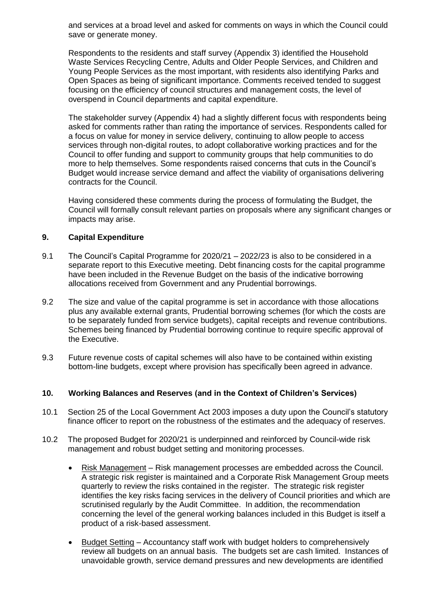and services at a broad level and asked for comments on ways in which the Council could save or generate money.

Respondents to the residents and staff survey (Appendix 3) identified the Household Waste Services Recycling Centre, Adults and Older People Services, and Children and Young People Services as the most important, with residents also identifying Parks and Open Spaces as being of significant importance. Comments received tended to suggest focusing on the efficiency of council structures and management costs, the level of overspend in Council departments and capital expenditure.

The stakeholder survey (Appendix 4) had a slightly different focus with respondents being asked for comments rather than rating the importance of services. Respondents called for a focus on value for money in service delivery, continuing to allow people to access services through non-digital routes, to adopt collaborative working practices and for the Council to offer funding and support to community groups that help communities to do more to help themselves. Some respondents raised concerns that cuts in the Council's Budget would increase service demand and affect the viability of organisations delivering contracts for the Council.

Having considered these comments during the process of formulating the Budget, the Council will formally consult relevant parties on proposals where any significant changes or impacts may arise.

## **9. Capital Expenditure**

- 9.1 The Council's Capital Programme for 2020/21 2022/23 is also to be considered in a separate report to this Executive meeting. Debt financing costs for the capital programme have been included in the Revenue Budget on the basis of the indicative borrowing allocations received from Government and any Prudential borrowings.
- 9.2 The size and value of the capital programme is set in accordance with those allocations plus any available external grants, Prudential borrowing schemes (for which the costs are to be separately funded from service budgets), capital receipts and revenue contributions. Schemes being financed by Prudential borrowing continue to require specific approval of the Executive.
- 9.3 Future revenue costs of capital schemes will also have to be contained within existing bottom-line budgets, except where provision has specifically been agreed in advance.

## **10. Working Balances and Reserves (and in the Context of Children's Services)**

- 10.1 Section 25 of the Local Government Act 2003 imposes a duty upon the Council's statutory finance officer to report on the robustness of the estimates and the adequacy of reserves.
- 10.2 The proposed Budget for 2020/21 is underpinned and reinforced by Council-wide risk management and robust budget setting and monitoring processes.
	- Risk Management Risk management processes are embedded across the Council. A strategic risk register is maintained and a Corporate Risk Management Group meets quarterly to review the risks contained in the register. The strategic risk register identifies the key risks facing services in the delivery of Council priorities and which are scrutinised regularly by the Audit Committee. In addition, the recommendation concerning the level of the general working balances included in this Budget is itself a product of a risk-based assessment.
	- Budget Setting Accountancy staff work with budget holders to comprehensively review all budgets on an annual basis. The budgets set are cash limited. Instances of unavoidable growth, service demand pressures and new developments are identified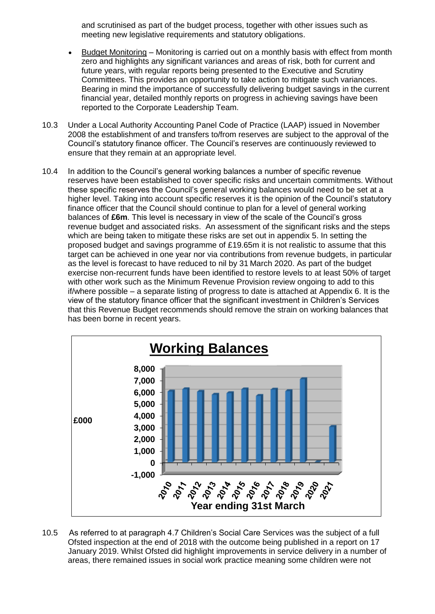and scrutinised as part of the budget process, together with other issues such as meeting new legislative requirements and statutory obligations.

- Budget Monitoring Monitoring is carried out on a monthly basis with effect from month zero and highlights any significant variances and areas of risk, both for current and future years, with regular reports being presented to the Executive and Scrutiny Committees. This provides an opportunity to take action to mitigate such variances. Bearing in mind the importance of successfully delivering budget savings in the current financial year, detailed monthly reports on progress in achieving savings have been reported to the Corporate Leadership Team.
- 10.3 Under a Local Authority Accounting Panel Code of Practice (LAAP) issued in November 2008 the establishment of and transfers to/from reserves are subject to the approval of the Council's statutory finance officer. The Council's reserves are continuously reviewed to ensure that they remain at an appropriate level.
- 10.4 In addition to the Council's general working balances a number of specific revenue reserves have been established to cover specific risks and uncertain commitments. Without these specific reserves the Council's general working balances would need to be set at a higher level. Taking into account specific reserves it is the opinion of the Council's statutory finance officer that the Council should continue to plan for a level of general working balances of **£6m**. This level is necessary in view of the scale of the Council's gross revenue budget and associated risks. An assessment of the significant risks and the steps which are being taken to mitigate these risks are set out in appendix 5. In setting the proposed budget and savings programme of £19.65m it is not realistic to assume that this target can be achieved in one year nor via contributions from revenue budgets, in particular as the level is forecast to have reduced to nil by 31 March 2020. As part of the budget exercise non-recurrent funds have been identified to restore levels to at least 50% of target with other work such as the Minimum Revenue Provision review ongoing to add to this if/where possible – a separate listing of progress to date is attached at Appendix 6. It is the view of the statutory finance officer that the significant investment in Children's Services that this Revenue Budget recommends should remove the strain on working balances that has been borne in recent years.



10.5 As referred to at paragraph 4.7 Children's Social Care Services was the subject of a full Ofsted inspection at the end of 2018 with the outcome being published in a report on 17 January 2019. Whilst Ofsted did highlight improvements in service delivery in a number of areas, there remained issues in social work practice meaning some children were not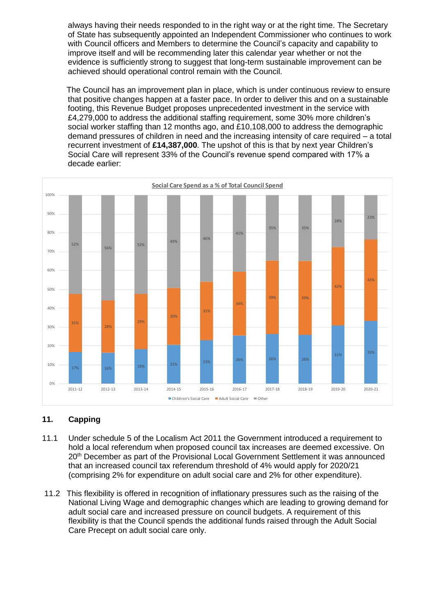always having their needs responded to in the right way or at the right time. The Secretary of State has subsequently appointed an Independent Commissioner who continues to work with Council officers and Members to determine the Council's capacity and capability to improve itself and will be recommending later this calendar year whether or not the evidence is sufficiently strong to suggest that long-term sustainable improvement can be achieved should operational control remain with the Council.

The Council has an improvement plan in place, which is under continuous review to ensure that positive changes happen at a faster pace. In order to deliver this and on a sustainable footing, this Revenue Budget proposes unprecedented investment in the service with £4,279,000 to address the additional staffing requirement, some 30% more children's social worker staffing than 12 months ago, and £10,108,000 to address the demographic demand pressures of children in need and the increasing intensity of care required – a total recurrent investment of **£14,387,000**. The upshot of this is that by next year Children's Social Care will represent 33% of the Council's revenue spend compared with 17% a decade earlier:



# **11. Capping**

- 11.1 Under schedule 5 of the Localism Act 2011 the Government introduced a requirement to hold a local referendum when proposed council tax increases are deemed excessive. On 20th December as part of the Provisional Local Government Settlement it was announced that an increased council tax referendum threshold of 4% would apply for 2020/21 (comprising 2% for expenditure on adult social care and 2% for other expenditure).
- 11.2 This flexibility is offered in recognition of inflationary pressures such as the raising of the National Living Wage and demographic changes which are leading to growing demand for adult social care and increased pressure on council budgets. A requirement of this flexibility is that the Council spends the additional funds raised through the Adult Social Care Precept on adult social care only.